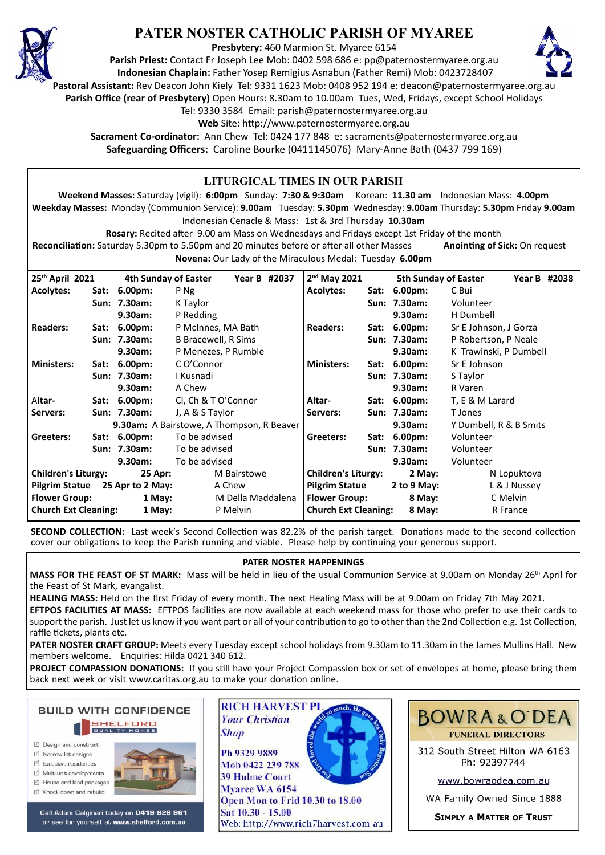

# **PATER NOSTER CATHOLIC PARISH OF MYAREE**

**Presbytery:** 460 Marmion St. Myaree 6154

**Parish Priest:** Contact Fr Joseph Lee Mob: 0402 598 686 e: pp@paternostermyaree.org.au **Indonesian Chaplain:** Father Yosep Remigius Asnabun (Father Remi) Mob: 0423728407



**Pastoral Assistant:** Rev Deacon John Kiely Tel: 9331 1623 Mob: 0408 952 194 e: deacon@paternostermyaree.org.au

**Parish Office (rear of Presbytery)** Open Hours: 8.30am to 10.00am Tues, Wed, Fridays, except School Holidays

Tel: 9330 3584 Email: parish@paternostermyaree.org.au

Web Site: http://www.paternostermyaree.org.au

**Sacrament Co-ordinator:** Ann Chew Tel: 0424 177 848 e: sacraments@paternostermyaree.org.au **Safeguarding Officers:** Caroline Bourke (0411145076) Mary-Anne Bath (0437 799 169)

#### **LITURGICAL TIMES IN OUR PARISH Weekend Masses:** Saturday (vigil): **6:00pm** Sunday: **7:30 & 9:30am** Korean: **11.30 am** Indonesian Mass: **4.00pm Weekday Masses:** Monday (Communion Service): **9.00am** Tuesday: **5.30pm** Wednesday: **9.00am** Thursday: **5.30pm** Friday **9.00am** Indonesian Cenacle & Mass: 1st & 3rd Thursday **10.30am Rosary:** Recited a�er 9.00 am Mass on Wednesdays and Fridays except 1st Friday of the month **Reconciliation:** Saturday 5.30pm to 5.50pm and 20 minutes before or after all other Masses **Anointing of Sick:** On request **Novena:** Our Lady of the Miraculous Medal: Tuesday **6.00pm 25th April 2021 4th Sunday of Easter Year B #2037 Acolytes: Sat: 6.00pm:** P Ng **Sun: 7.30am:** K Taylor **9.30am:** P Redding **Readers: Sat: 6.00pm:** P McInnes, MA Bath **Sun: 7.30am:** B Bracewell, R Sims **9.30am:** P Menezes, P Rumble **Ministers: Sat: 6.00pm:** C O'Connor **Sun: 7.30am:** I Kusnadi **9.30am:** A Chew A**ltar- Sat: 6.00pm:** Cl, Ch & T O'Connor **Servers: Sun: 7.30am:** J, A & S Taylor **9.30am:** A Bairstowe, A Thompson, R Beaver **Greeters: Sat: 6.00pm:** To be advised **Sun: 7.30am:** To be advised **9.30am:** To be advised **Children's Liturgy: 25 Apr:** M Bairstowe **Pilgrim Statue 25 Apr to 2 May:** A Chew **Flower Group:** 1 May: M Della Maddalena **Church Ext Cleaning: 1 May:** P Melvin 2<sup>nd</sup> May 2021 **nd May 2021 5th Sunday of Easter Year B #2038 Acolytes: Sat: 6.00pm:** C Bui **Sun: 7.30am:** Volunteer **9.30am:** H Dumbell **Readers: Sat: 6.00pm:** Sr E Johnson, J Gorza **Sun: 7.30am:** P Robertson, P Neale **9.30am:** K Trawinski, P Dumbell **Ministers: Sat: 6.00pm:** Sr E Johnson **Sun: 7.30am:** S Taylor **9.30am:** R Varen **Altar- Sat: 6.00pm:** T, E & M Larard **Servers: Sun: 7.30am:** T Jones **9.30am:** Y Dumbell, R & B Smits **Gree**t**ers: Sat: 6.00pm:** Volunteer **Sun: 7.30am:** Volunteer **9.30am:** Volunteer **Children's Liturgy: 2 May:** N Lopuktova **Pilgrim Statue 2 to 9 May:** L & J Nussey **Flower Group: 8 May:** C Melvin **Church Ext Cleaning: 8 May:** R France

**SECOND COLLECTION:** Last week's Second Collection was 82.2% of the parish target. Donations made to the second collection cover our obligations to keep the Parish running and viable. Please help by continuing your generous support.

#### **PATER NOSTER HAPPENINGS**

MASS FOR THE FEAST OF ST MARK: Mass will be held in lieu of the usual Communion Service at 9.00am on Monday 26<sup>th</sup> April for the Feast of St Mark, evangalist.

**HEALING MASS:** Held on the first Friday of every month. The next Healing Mass will be at 9.00am on Friday 7th May 2021. **EFTPOS FACILITIES AT MASS:** EFTPOS facili�es are now available at each weekend mass for those who prefer to use their cards to support the parish. Just let us know if you want part or all of your contribution to go to other than the 2nd Collection e.g. 1st Collection, raffle tickets, plants etc.

**PATER NOSTER CRAFT GROUP:** Meets every Tuesday except school holidays from 9.30am to 11.30am in the James Mullins Hall. New members welcome. Enquiries: Hilda 0421 340 612.

PROJECT COMPASSION DONATIONS: If you still have your Project Compassion box or set of envelopes at home, please bring them back next week or visit www.caritas.org.au to make your donation online.



- □ Design and construct
- $\triangledown$  Narrow lot designe  $\triangledown$  Executive residences
- $\overrightarrow{2}$  Multi-unit developments
- M House and land packages
- ☑ Knock down and rebuild



Call Adam Calginari today on 0419 929 961 or see for yourself at www.shelford.com.au



Ph 9329 9889 Mob 0422 239 788 **39 Hulme Court** Mvaree WA 6154 Open Mon to Frid 10.30 to 18.00 Sat 10.30 - 15.00 Web: http://www.rich7harvest.com.au

**Shop** 



312 South Street Hilton WA 6163 Ph: 92397744

www.bowraodea.com.au

WA Family Owned Since 1888

**SIMPLY A MATTER OF TRUST**